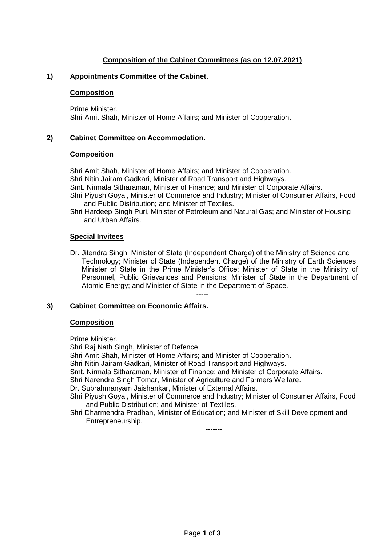## **Composition of the Cabinet Committees (as on 12.07.2021)**

-----

### **1) Appointments Committee of the Cabinet.**

#### **Composition**

Prime Minister. Shri Amit Shah, Minister of Home Affairs; and Minister of Cooperation.

### **2) Cabinet Committee on Accommodation.**

#### **Composition**

Shri Amit Shah, Minister of Home Affairs; and Minister of Cooperation. Shri Nitin Jairam Gadkari, Minister of Road Transport and Highways. Smt. Nirmala Sitharaman, Minister of Finance; and Minister of Corporate Affairs.

- Shri Piyush Goyal, Minister of Commerce and Industry; Minister of Consumer Affairs, Food and Public Distribution; and Minister of Textiles.
- Shri Hardeep Singh Puri, Minister of Petroleum and Natural Gas; and Minister of Housing and Urban Affairs.

### **Special Invitees**

Dr. Jitendra Singh, Minister of State (Independent Charge) of the Ministry of Science and Technology; Minister of State (Independent Charge) of the Ministry of Earth Sciences; Minister of State in the Prime Minister's Office; Minister of State in the Ministry of Personnel, Public Grievances and Pensions; Minister of State in the Department of Atomic Energy; and Minister of State in the Department of Space. -----

#### **3) Cabinet Committee on Economic Affairs.**

#### **Composition**

Prime Minister.

Shri Raj Nath Singh, Minister of Defence.

Shri Amit Shah, Minister of Home Affairs; and Minister of Cooperation.

Shri Nitin Jairam Gadkari, Minister of Road Transport and Highways.

Smt. Nirmala Sitharaman, Minister of Finance; and Minister of Corporate Affairs.

Shri Narendra Singh Tomar, Minister of Agriculture and Farmers Welfare.

Dr. Subrahmanyam Jaishankar, Minister of External Affairs.

- Shri Piyush Goyal, Minister of Commerce and Industry; Minister of Consumer Affairs, Food and Public Distribution; and Minister of Textiles.
- Shri Dharmendra Pradhan, Minister of Education; and Minister of Skill Development and Entrepreneurship.

-------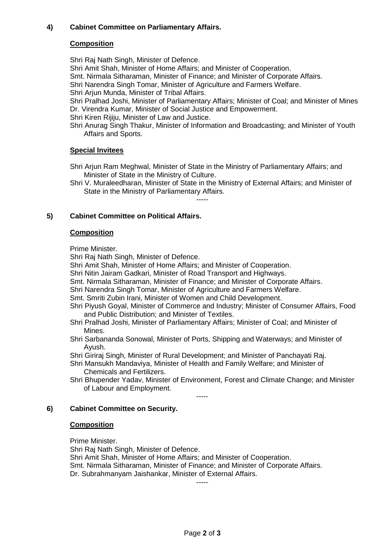# **4) Cabinet Committee on Parliamentary Affairs.**

## **Composition**

Shri Raj Nath Singh, Minister of Defence.

Shri Amit Shah, Minister of Home Affairs; and Minister of Cooperation.

Smt. Nirmala Sitharaman, Minister of Finance; and Minister of Corporate Affairs.

Shri Narendra Singh Tomar, Minister of Agriculture and Farmers Welfare.

Shri Arjun Munda, Minister of Tribal Affairs.

Shri Pralhad Joshi, Minister of Parliamentary Affairs; Minister of Coal; and Minister of Mines Dr. Virendra Kumar, Minister of Social Justice and Empowerment.

Shri Kiren Rijiju, Minister of Law and Justice.

Shri Anurag Singh Thakur, Minister of Information and Broadcasting; and Minister of Youth Affairs and Sports.

## **Special Invitees**

Shri Arjun Ram Meghwal, Minister of State in the Ministry of Parliamentary Affairs; and Minister of State in the Ministry of Culture.

-----

Shri V. Muraleedharan, Minister of State in the Ministry of External Affairs; and Minister of State in the Ministry of Parliamentary Affairs.

# **5) Cabinet Committee on Political Affairs.**

## **Composition**

Prime Minister.

Shri Raj Nath Singh, Minister of Defence.

Shri Amit Shah, Minister of Home Affairs; and Minister of Cooperation.

- Shri Nitin Jairam Gadkari, Minister of Road Transport and Highways.
- Smt. Nirmala Sitharaman, Minister of Finance; and Minister of Corporate Affairs.
- Shri Narendra Singh Tomar, Minister of Agriculture and Farmers Welfare.
- Smt. Smriti Zubin Irani, Minister of Women and Child Development.
- Shri Piyush Goyal, Minister of Commerce and Industry; Minister of Consumer Affairs, Food and Public Distribution; and Minister of Textiles.
- Shri Pralhad Joshi, Minister of Parliamentary Affairs; Minister of Coal; and Minister of Mines.
- Shri Sarbananda Sonowal, Minister of Ports, Shipping and Waterways; and Minister of Ayush.
- Shri Giriraj Singh, Minister of Rural Development; and Minister of Panchayati Raj.
- Shri Mansukh Mandaviya, Minister of Health and Family Welfare; and Minister of Chemicals and Fertilizers.

-----

Shri Bhupender Yadav, Minister of Environment, Forest and Climate Change; and Minister of Labour and Employment.

## **6) Cabinet Committee on Security.**

## **Composition**

Prime Minister.

Shri Raj Nath Singh, Minister of Defence.

Shri Amit Shah, Minister of Home Affairs; and Minister of Cooperation.

Smt. Nirmala Sitharaman, Minister of Finance; and Minister of Corporate Affairs. Dr. Subrahmanyam Jaishankar, Minister of External Affairs.

-----